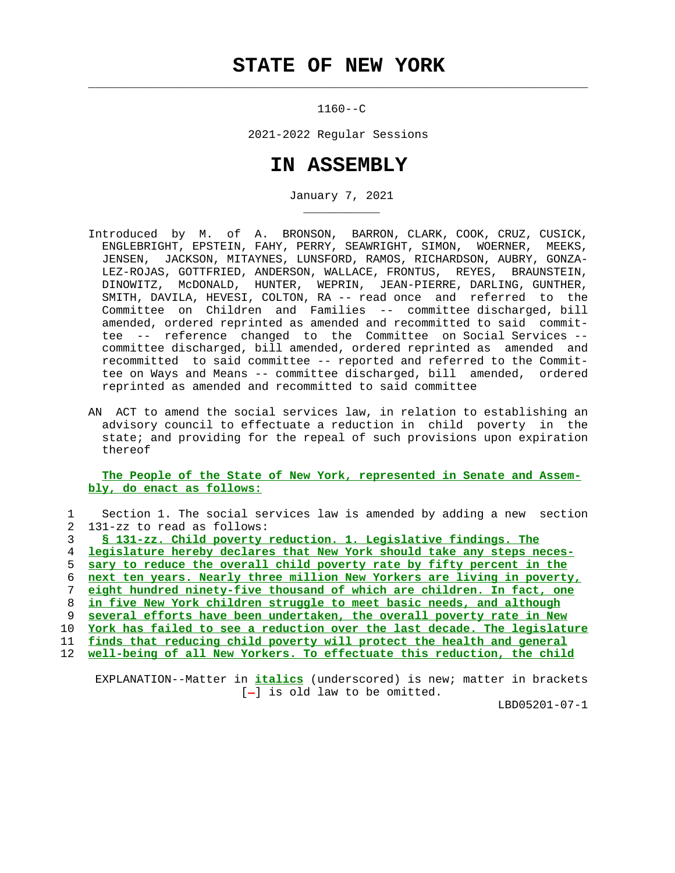## **STATE OF NEW YORK**

 $\mathcal{L}_\text{max} = \frac{1}{2} \sum_{i=1}^{n} \frac{1}{2} \sum_{i=1}^{n} \frac{1}{2} \sum_{i=1}^{n} \frac{1}{2} \sum_{i=1}^{n} \frac{1}{2} \sum_{i=1}^{n} \frac{1}{2} \sum_{i=1}^{n} \frac{1}{2} \sum_{i=1}^{n} \frac{1}{2} \sum_{i=1}^{n} \frac{1}{2} \sum_{i=1}^{n} \frac{1}{2} \sum_{i=1}^{n} \frac{1}{2} \sum_{i=1}^{n} \frac{1}{2} \sum_{i=1}^{n} \frac{1$ 

\_\_\_\_\_\_\_\_\_\_\_

1160--C

2021-2022 Regular Sessions

## **IN ASSEMBLY**

January 7, 2021

- Introduced by M. of A. BRONSON, BARRON, CLARK, COOK, CRUZ, CUSICK, ENGLEBRIGHT, EPSTEIN, FAHY, PERRY, SEAWRIGHT, SIMON, WOERNER, MEEKS, JENSEN, JACKSON, MITAYNES, LUNSFORD, RAMOS, RICHARDSON, AUBRY, GONZA- LEZ-ROJAS, GOTTFRIED, ANDERSON, WALLACE, FRONTUS, REYES, BRAUNSTEIN, DINOWITZ, McDONALD, HUNTER, WEPRIN, JEAN-PIERRE, DARLING, GUNTHER, SMITH, DAVILA, HEVESI, COLTON, RA -- read once and referred to the Committee on Children and Families -- committee discharged, bill amended, ordered reprinted as amended and recommitted to said commit tee -- reference changed to the Committee on Social Services - committee discharged, bill amended, ordered reprinted as amended and recommitted to said committee -- reported and referred to the Commit tee on Ways and Means -- committee discharged, bill amended, ordered reprinted as amended and recommitted to said committee
	- AN ACT to amend the social services law, in relation to establishing an advisory council to effectuate a reduction in child poverty in the state; and providing for the repeal of such provisions upon expiration thereof

 **The People of the State of New York, represented in Senate and Assem bly, do enact as follows:**

|     | Section 1. The social services law is amended by adding a new section        |
|-----|------------------------------------------------------------------------------|
|     | 131-zz to read as follows:<br>2                                              |
|     | § 131-zz. Child poverty reduction. 1. Legislative findings. The              |
|     | legislature hereby declares that New York should take any steps neces-<br>4  |
|     | sary to reduce the overall child poverty rate by fifty percent in the<br>5.  |
|     | next ten years. Nearly three million New Yorkers are living in poverty,<br>6 |
|     | eight hundred ninety-five thousand of which are children. In fact, one       |
|     | in five New York children struggle to meet basic needs, and although<br>8    |
|     | several efforts have been undertaken, the overall poverty rate in New<br>9   |
| 10  | York has failed to see a reduction over the last decade. The legislature     |
| 11  | finds that reducing child poverty will protect the health and general        |
| 12. | well-being of all New Yorkers. To effectuate this reduction, the child       |
|     |                                                                              |
|     |                                                                              |

 EXPLANATION--Matter in **italics** (underscored) is new; matter in brackets  $[-]$  is old law to be omitted.

LBD05201-07-1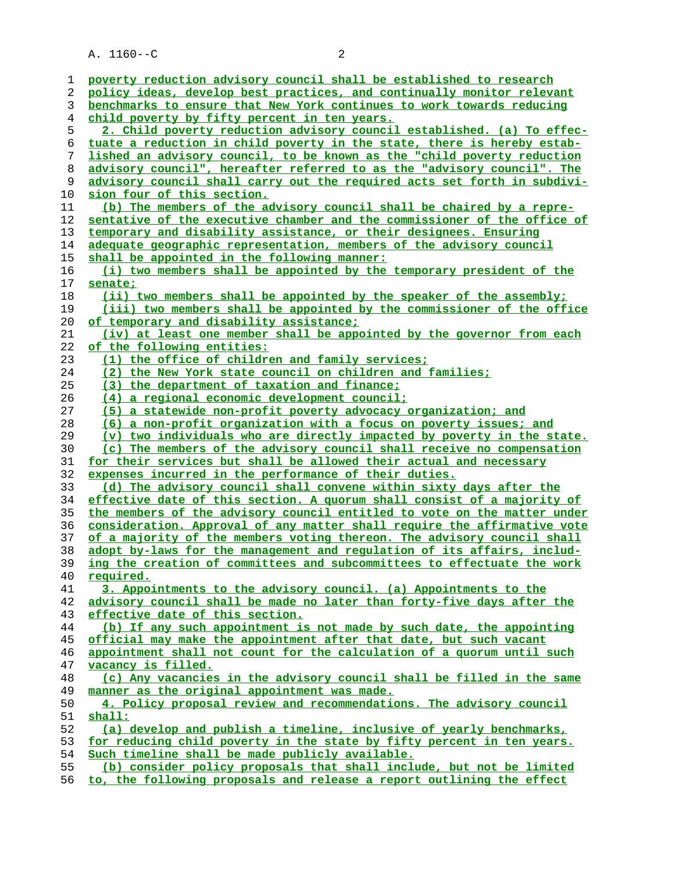| 1  | poverty reduction advisory council shall be established to research           |
|----|-------------------------------------------------------------------------------|
| 2  | policy ideas, develop best practices, and continually monitor relevant        |
| 3  | benchmarks to ensure that New York continues to work towards reducing         |
| 4  | child poverty by fifty percent in ten years.                                  |
| 5  | 2. Child poverty reduction advisory council established. (a) To effec-        |
| 6  | tuate a reduction in child poverty in the state, there is hereby estab-       |
| 7  | lished an advisory council, to be known as the "child poverty reduction       |
| 8  | advisory council", hereafter referred to as the "advisory council". The       |
| 9  | advisory council shall carry out the required acts set forth in subdivi-      |
| 10 | sion four of this section.                                                    |
| 11 | (b) The members of the advisory council shall be chaired by a repre-          |
|    |                                                                               |
| 12 | sentative of the executive chamber and the commissioner of the office of      |
| 13 | temporary and disability assistance, or their designees. Ensuring             |
| 14 | adequate geographic representation, members of the advisory council           |
| 15 | shall be appointed in the following manner:                                   |
| 16 | (i) two members shall be appointed by the temporary president of the          |
| 17 | <u>senate;</u>                                                                |
| 18 | (ii) two members shall be appointed by the speaker of the assembly;           |
| 19 | (iii) two members shall be appointed by the commissioner of the office        |
| 20 | of temporary and disability assistance;                                       |
| 21 | (iv) at least one member shall be appointed by the governor from each         |
| 22 | of the following entities:                                                    |
| 23 | (1) the office of children and family services;                               |
| 24 | (2) the New York state council on children and families;                      |
| 25 | (3) the department of taxation and finance;                                   |
| 26 | <u>(4) a regional economic development council;</u>                           |
| 27 | (5) a statewide non-profit poverty advocacy organization; and                 |
| 28 | (6) a non-profit organization with a focus on poverty issues; and             |
| 29 | <u>(v) two individuals who are directly impacted by poverty in the state.</u> |
| 30 | (c) The members of the advisory council shall receive no compensation         |
| 31 | for their services but shall be allowed their actual and necessary            |
| 32 | expenses incurred in the performance of their duties.                         |
| 33 | (d) The advisory council shall convene within sixty days after the            |
| 34 | effective date of this section. A quorum shall consist of a majority of       |
| 35 | the members of the advisory council entitled to vote on the matter under      |
| 36 | consideration. Approval of any matter shall require the affirmative vote      |
| 37 | of a majority of the members voting thereon. The advisory council shall       |
| 38 | adopt by-laws for the management and regulation of its affairs, includ-       |
| 39 | ing the creation of committees and subcommittees to effectuate the work       |
| 40 | required.                                                                     |
| 41 | 3. Appointments to the advisory council. (a) Appointments to the              |
| 42 | advisory council shall be made no later than forty-five days after the        |
| 43 | effective date of this section.                                               |
| 44 | (b) If any such appointment is not made by such date, the appointing          |
| 45 | official may make the appointment after that date, but such vacant            |
| 46 | appointment shall not count for the calculation of a quorum until such        |
| 47 | vacancy is filled.                                                            |
| 48 | (c) Any vacancies in the advisory council shall be filled in the same         |
| 49 | manner as the original appointment was made.                                  |
| 50 | 4. Policy proposal review and recommendations. The advisory council           |
| 51 | shall:                                                                        |
| 52 | (a) develop and publish a timeline, inclusive of yearly benchmarks,           |
| 53 | for reducing child poverty in the state by fifty percent in ten years.        |
| 54 | Such timeline shall be made publicly available.                               |
| 55 | (b) consider policy proposals that shall include, but not be limited          |

**to, the following proposals and release a report outlining the effect**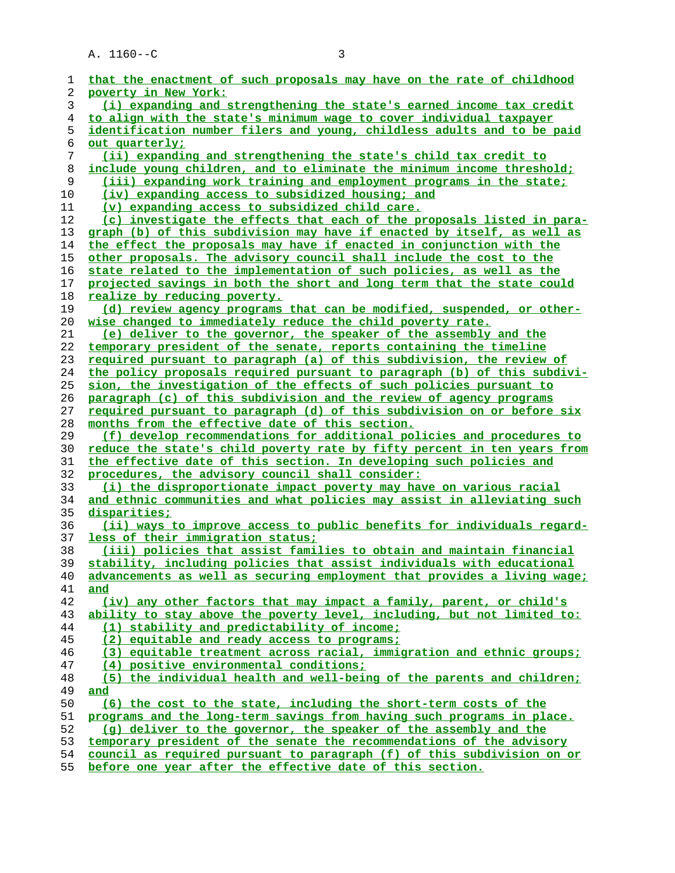| 1              | that the enactment of such proposals may have on the rate of childhood                                           |
|----------------|------------------------------------------------------------------------------------------------------------------|
| 2              | poverty in New York:                                                                                             |
| 3              | (i) expanding and strengthening the state's earned income tax credit                                             |
| $\overline{4}$ | to align with the state's minimum wage to cover individual taxpayer                                              |
| 5              | identification number filers and young, childless adults and to be paid                                          |
| 6              | out quarterly;                                                                                                   |
| 7              | <u>(ii) expanding and strengthening the state's child tax credit to</u>                                          |
| 8              | include young children, and to eliminate the minimum income threshold;                                           |
| 9              | (iii) expanding work training and employment programs in the state;                                              |
| 10             | <u>(iv) expanding access to subsidized housing; and</u>                                                          |
| 11             | (v) expanding access to subsidized child care.                                                                   |
| 12             | (c) investigate the effects that each of the proposals listed in para-                                           |
| 13             | graph (b) of this subdivision may have if enacted by itself, as well as                                          |
| 14             | the effect the proposals may have if enacted in conjunction with the                                             |
| 15             | other proposals. The advisory council shall include the cost to the                                              |
| 16             |                                                                                                                  |
|                | state related to the implementation of such policies, as well as the                                             |
| 17             | projected savings in both the short and long term that the state could                                           |
| 18             | realize by reducing poverty.                                                                                     |
| 19             | (d) review agency programs that can be modified, suspended, or other-                                            |
| 20             | wise changed to immediately reduce the child poverty rate.                                                       |
| 21             | (e) deliver to the governor, the speaker of the assembly and the                                                 |
| 22             | temporary president of the senate, reports containing the timeline                                               |
| 23             | required pursuant to paragraph (a) of this subdivision, the review of                                            |
| 24             | the policy proposals required pursuant to paragraph (b) of this subdivi-                                         |
| 25             | sion, the investigation of the effects of such policies pursuant to                                              |
| 26             | paragraph (c) of this subdivision and the review of agency programs                                              |
| 27             | required pursuant to paragraph (d) of this subdivision on or before six                                          |
| 28             | months from the effective date of this section.                                                                  |
| 29             | (f) develop recommendations for additional policies and procedures to                                            |
| 30             | reduce the state's child poverty rate by fifty percent in ten years from                                         |
| 31             | the effective date of this section. In developing such policies and                                              |
| 32             | procedures, the advisory council shall consider:                                                                 |
| 33             | (i) the disproportionate impact poverty may have on various racial                                               |
| 34             | and ethnic communities and what policies may assist in alleviating such                                          |
| 35             | disparities;                                                                                                     |
| 36             | (ii) ways to improve access to public benefits for individuals regard-                                           |
| 37             | less of their immigration status;                                                                                |
| 38             | (iii) policies that assist families to obtain and maintain financial                                             |
| 39             | stability, including policies that assist individuals with educational                                           |
| 40             | advancements as well as securing employment that provides a living wage;                                         |
| 41             | and                                                                                                              |
| 42             | (iv) any other factors that may impact a family, parent, or child's                                              |
| 43             | ability to stay above the poverty level, including, but not limited to:                                          |
| 44             | (1) stability and predictability of income;                                                                      |
| 45             | (2) equitable and ready access to programs;                                                                      |
| 46             | (3) equitable treatment across racial, immigration and ethnic groups;                                            |
| 47             | (4) positive environmental conditions;                                                                           |
| 48             | (5) the individual health and well-being of the parents and children;                                            |
| 49             | and                                                                                                              |
| 50             | (6) the cost to the state, including the short-term costs of the                                                 |
|                | programs and the long-term savings from having such programs in place.                                           |
| 51             |                                                                                                                  |
| 52             | (q) deliver to the governor, the speaker of the assembly and the                                                 |
| 53             | temporary president of the senate the recommendations of the advisory                                            |
| 54<br>E E.     | council as required pursuant to paragraph (f) of this subdivision on or<br>وماسالها والمستحدث والمتحاول والمتحدث |
|                |                                                                                                                  |

**before one year after the effective date of this section.**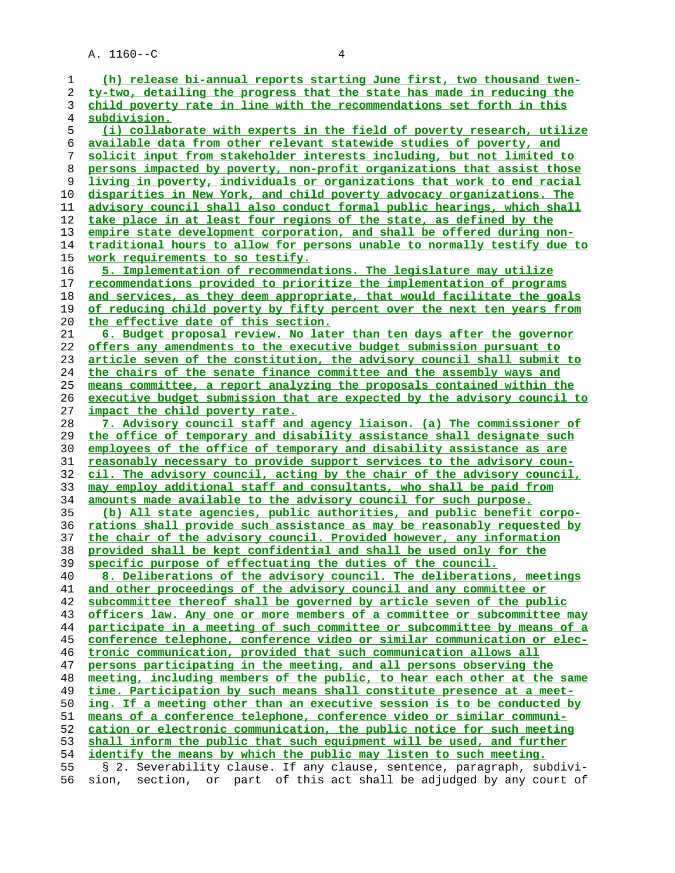**(h) release bi-annual reports starting June first, two thousand twen- ty-two, detailing the progress that the state has made in reducing the child poverty rate in line with the recommendations set forth in this subdivision. (i) collaborate with experts in the field of poverty research, utilize available data from other relevant statewide studies of poverty, and solicit input from stakeholder interests including, but not limited to persons impacted by poverty, non-profit organizations that assist those living in poverty, individuals or organizations that work to end racial disparities in New York, and child poverty advocacy organizations. The advisory council shall also conduct formal public hearings, which shall take place in at least four regions of the state, as defined by the empire state development corporation, and shall be offered during non- traditional hours to allow for persons unable to normally testify due to work requirements to so testify. 5. Implementation of recommendations. The legislature may utilize recommendations provided to prioritize the implementation of programs and services, as they deem appropriate, that would facilitate the goals of reducing child poverty by fifty percent over the next ten years from the effective date of this section. 6. Budget proposal review. No later than ten days after the governor offers any amendments to the executive budget submission pursuant to article seven of the constitution, the advisory council shall submit to the chairs of the senate finance committee and the assembly ways and means committee, a report analyzing the proposals contained within the executive budget submission that are expected by the advisory council to impact the child poverty rate. 7. Advisory council staff and agency liaison. (a) The commissioner of the office of temporary and disability assistance shall designate such employees of the office of temporary and disability assistance as are reasonably necessary to provide support services to the advisory coun- cil. The advisory council, acting by the chair of the advisory council, may employ additional staff and consultants, who shall be paid from amounts made available to the advisory council for such purpose. (b) All state agencies, public authorities, and public benefit corpo- rations shall provide such assistance as may be reasonably requested by the chair of the advisory council. Provided however, any information provided shall be kept confidential and shall be used only for the specific purpose of effectuating the duties of the council. 8. Deliberations of the advisory council. The deliberations, meetings and other proceedings of the advisory council and any committee or subcommittee thereof shall be governed by article seven of the public officers law. Any one or more members of a committee or subcommittee may participate in a meeting of such committee or subcommittee by means of a conference telephone, conference video or similar communication or elec- tronic communication, provided that such communication allows all persons participating in the meeting, and all persons observing the meeting, including members of the public, to hear each other at the same time. Participation by such means shall constitute presence at a meet- ing. If a meeting other than an executive session is to be conducted by means of a conference telephone, conference video or similar communi- cation or electronic communication, the public notice for such meeting shall inform the public that such equipment will be used, and further identify the means by which the public may listen to such meeting.** 55 § 2. Severability clause. If any clause, sentence, paragraph, subdivi- 56 sion, section, or part of this act shall be adjudged by any court of